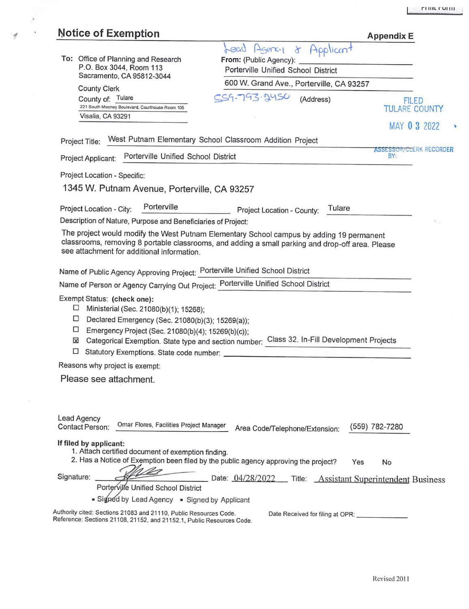| <b>Notice of Exemption</b>                                                                                                                                                     | <b>Appendix E</b>                        |
|--------------------------------------------------------------------------------------------------------------------------------------------------------------------------------|------------------------------------------|
| Applicant<br>Lead Agency<br>$\alpha$                                                                                                                                           |                                          |
| To: Office of Planning and Research<br>From: (Public Agency):<br>P.O. Box 3044, Room 113                                                                                       |                                          |
| Porterville Unified School District<br>Sacramento, CA 95812-3044                                                                                                               |                                          |
| 600 W. Grand Ave., Porterville, CA 93257<br><b>County Clerk</b>                                                                                                                |                                          |
| CS9-793-24SO<br>County of: Tulare<br>(Address)<br>221 South Mooney Boulevard, Courthouse Room 105<br>Visalia, CA 93291                                                         | <b>FILED</b><br><b>TULARE COUNTY</b>     |
|                                                                                                                                                                                | MAY 0 3 2022                             |
| West Putnam Elementary School Classroom Addition Project<br>Project Title:                                                                                                     |                                          |
| Porterville Unified School District<br>Project Applicant:                                                                                                                      | <b>ASSESSOR/CLERK RECORDER</b><br>BY:    |
| Project Location - Specific:                                                                                                                                                   |                                          |
| 1345 W. Putnam Avenue, Porterville, CA 93257                                                                                                                                   |                                          |
| Porterville                                                                                                                                                                    |                                          |
| Tulare<br>Project Location - City:<br>Project Location - County:                                                                                                               |                                          |
| Description of Nature, Purpose and Beneficiaries of Project:                                                                                                                   |                                          |
| The project would modify the West Putnam Elementary School campus by adding 19 permanent                                                                                       |                                          |
| classrooms, removing 8 portable classrooms, and adding a small parking and drop-off area. Please                                                                               |                                          |
| see attachment for additional information.                                                                                                                                     |                                          |
| Name of Public Agency Approving Project: Porterville Unified School District                                                                                                   |                                          |
| Name of Person or Agency Carrying Out Project: Porterville Unified School District                                                                                             |                                          |
| Exempt Status: (check one):                                                                                                                                                    |                                          |
| ⊔<br>Ministerial (Sec. 21080(b)(1); 15268);                                                                                                                                    |                                          |
| □<br>Declared Emergency (Sec. 21080(b)(3); 15269(a));                                                                                                                          |                                          |
| □<br>Emergency Project (Sec. 21080(b)(4); 15269(b)(c));                                                                                                                        |                                          |
| Categorical Exemption. State type and section number: Class 32. In-Fill Development Projects<br>X                                                                              |                                          |
| □<br>Statutory Exemptions. State code number:                                                                                                                                  |                                          |
| Reasons why project is exempt:                                                                                                                                                 |                                          |
| Please see attachment.                                                                                                                                                         |                                          |
|                                                                                                                                                                                |                                          |
|                                                                                                                                                                                |                                          |
| Lead Agency                                                                                                                                                                    |                                          |
| Omar Flores, Facilities Project Manager<br>Contact Person:<br>Area Code/Telephone/Extension:                                                                                   | (559) 782-7280                           |
| If filed by applicant:                                                                                                                                                         |                                          |
| 1. Attach certified document of exemption finding.                                                                                                                             |                                          |
| 2. Has a Notice of Exemption been filed by the public agency approving the project?<br>Yes                                                                                     | No                                       |
|                                                                                                                                                                                |                                          |
| Signature:<br>Date: 04/28/2022<br>Porterville Unified School District                                                                                                          | Title: Assistant Superintendent Business |
| Signed by Lead Agency = Signed by Applicant                                                                                                                                    |                                          |
|                                                                                                                                                                                |                                          |
| Authority cited: Sections 21083 and 21110, Public Resources Code.<br>Date Received for filing at OPR:<br>Reference: Sections 21108, 21152, and 21152.1, Public Resources Code. |                                          |

 $\mathcal{E}$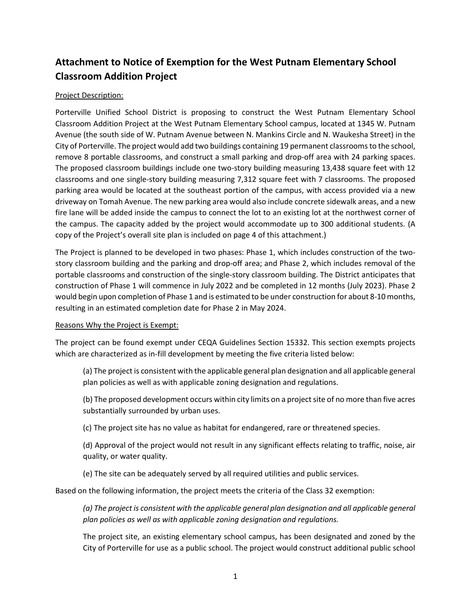# **Attachment to Notice of Exemption for the West Putnam Elementary School Classroom Addition Project**

## Project Description:

Porterville Unified School District is proposing to construct the West Putnam Elementary School Classroom Addition Project at the West Putnam Elementary School campus, located at 1345 W. Putnam Avenue (the south side of W. Putnam Avenue between N. Mankins Circle and N. Waukesha Street) in the City of Porterville. The project would add two buildings containing 19 permanent classrooms to the school, remove 8 portable classrooms, and construct a small parking and drop-off area with 24 parking spaces. The proposed classroom buildings include one two-story building measuring 13,438 square feet with 12 classrooms and one single-story building measuring 7,312 square feet with 7 classrooms. The proposed parking area would be located at the southeast portion of the campus, with access provided via a new driveway on Tomah Avenue. The new parking area would also include concrete sidewalk areas, and a new fire lane will be added inside the campus to connect the lot to an existing lot at the northwest corner of the campus. The capacity added by the project would accommodate up to 300 additional students. (A copy of the Project's overall site plan is included on page 4 of this attachment.)

The Project is planned to be developed in two phases: Phase 1, which includes construction of the twostory classroom building and the parking and drop-off area; and Phase 2, which includes removal of the portable classrooms and construction of the single-story classroom building. The District anticipates that construction of Phase 1 will commence in July 2022 and be completed in 12 months (July 2023). Phase 2 would begin upon completion of Phase 1 and is estimated to be under construction for about 8-10 months, resulting in an estimated completion date for Phase 2 in May 2024.

### Reasons Why the Project is Exempt:

The project can be found exempt under CEQA Guidelines Section 15332. This section exempts projects which are characterized as in-fill development by meeting the five criteria listed below:

(a) The project is consistent with the applicable general plan designation and all applicable general plan policies as well as with applicable zoning designation and regulations.

(b) The proposed development occurs within city limits on a project site of no more than five acres substantially surrounded by urban uses.

(c) The project site has no value as habitat for endangered, rare or threatened species.

(d) Approval of the project would not result in any significant effects relating to traffic, noise, air quality, or water quality.

(e) The site can be adequately served by all required utilities and public services.

Based on the following information, the project meets the criteria of the Class 32 exemption:

*(a) The project is consistent with the applicable general plan designation and all applicable general plan policies as well as with applicable zoning designation and regulations.*

The project site, an existing elementary school campus, has been designated and zoned by the City of Porterville for use as a public school. The project would construct additional public school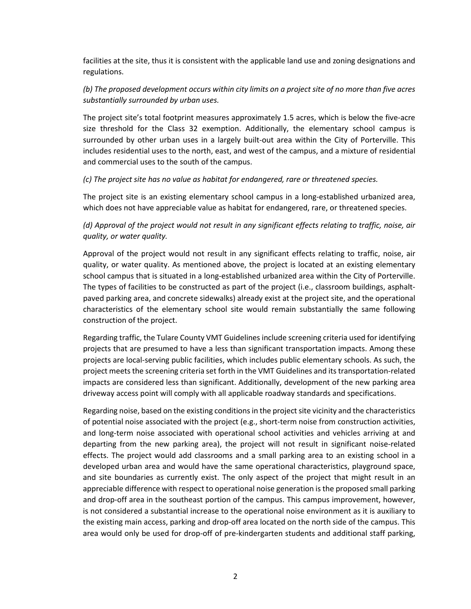facilities at the site, thus it is consistent with the applicable land use and zoning designations and regulations.

# *(b) The proposed development occurs within city limits on a project site of no more than five acres substantially surrounded by urban uses.*

The project site's total footprint measures approximately 1.5 acres, which is below the five-acre size threshold for the Class 32 exemption. Additionally, the elementary school campus is surrounded by other urban uses in a largely built-out area within the City of Porterville. This includes residential uses to the north, east, and west of the campus, and a mixture of residential and commercial uses to the south of the campus.

### *(c) The project site has no value as habitat for endangered, rare or threatened species.*

The project site is an existing elementary school campus in a long-established urbanized area, which does not have appreciable value as habitat for endangered, rare, or threatened species.

## *(d) Approval of the project would not result in any significant effects relating to traffic, noise, air quality, or water quality.*

Approval of the project would not result in any significant effects relating to traffic, noise, air quality, or water quality. As mentioned above, the project is located at an existing elementary school campus that is situated in a long-established urbanized area within the City of Porterville. The types of facilities to be constructed as part of the project (i.e., classroom buildings, asphaltpaved parking area, and concrete sidewalks) already exist at the project site, and the operational characteristics of the elementary school site would remain substantially the same following construction of the project.

Regarding traffic, the Tulare County VMT Guidelines include screening criteria used for identifying projects that are presumed to have a less than significant transportation impacts. Among these projects are local-serving public facilities, which includes public elementary schools. As such, the project meets the screening criteria set forth in the VMT Guidelines and its transportation-related impacts are considered less than significant. Additionally, development of the new parking area driveway access point will comply with all applicable roadway standards and specifications.

Regarding noise, based on the existing conditions in the project site vicinity and the characteristics of potential noise associated with the project (e.g., short-term noise from construction activities, and long-term noise associated with operational school activities and vehicles arriving at and departing from the new parking area), the project will not result in significant noise-related effects. The project would add classrooms and a small parking area to an existing school in a developed urban area and would have the same operational characteristics, playground space, and site boundaries as currently exist. The only aspect of the project that might result in an appreciable difference with respect to operational noise generation is the proposed small parking and drop-off area in the southeast portion of the campus. This campus improvement, however, is not considered a substantial increase to the operational noise environment as it is auxiliary to the existing main access, parking and drop-off area located on the north side of the campus. This area would only be used for drop-off of pre-kindergarten students and additional staff parking,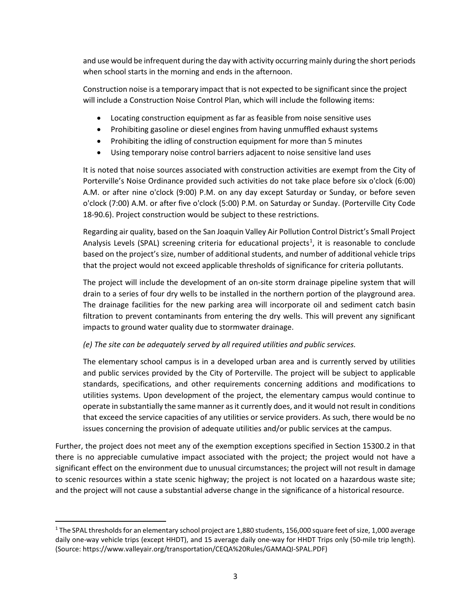and use would be infrequent during the day with activity occurring mainly during the short periods when school starts in the morning and ends in the afternoon.

Construction noise is a temporary impact that is not expected to be significant since the project will include a Construction Noise Control Plan, which will include the following items:

- Locating construction equipment as far as feasible from noise sensitive uses
- Prohibiting gasoline or diesel engines from having unmuffled exhaust systems
- Prohibiting the idling of construction equipment for more than 5 minutes
- Using temporary noise control barriers adjacent to noise sensitive land uses

It is noted that noise sources associated with construction activities are exempt from the City of Porterville's Noise Ordinance provided such activities do not take place before six o'clock (6:00) A.M. or after nine o'clock (9:00) P.M. on any day except Saturday or Sunday, or before seven o'clock (7:00) A.M. or after five o'clock (5:00) P.M. on Saturday or Sunday. (Porterville City Code 18-90.6). Project construction would be subject to these restrictions.

Regarding air quality, based on the San Joaquin Valley Air Pollution Control District's Small Project Analysis Levels (SPAL) screening criteria for educational projects<sup>[1](#page-3-0)</sup>, it is reasonable to conclude based on the project's size, number of additional students, and number of additional vehicle trips that the project would not exceed applicable thresholds of significance for criteria pollutants.

The project will include the development of an on-site storm drainage pipeline system that will drain to a series of four dry wells to be installed in the northern portion of the playground area. The drainage facilities for the new parking area will incorporate oil and sediment catch basin filtration to prevent contaminants from entering the dry wells. This will prevent any significant impacts to ground water quality due to stormwater drainage.

## *(e) The site can be adequately served by all required utilities and public services.*

The elementary school campus is in a developed urban area and is currently served by utilities and public services provided by the City of Porterville. The project will be subject to applicable standards, specifications, and other requirements concerning additions and modifications to utilities systems. Upon development of the project, the elementary campus would continue to operate in substantially the same manner as it currently does, and it would not result in conditions that exceed the service capacities of any utilities or service providers. As such, there would be no issues concerning the provision of adequate utilities and/or public services at the campus.

Further, the project does not meet any of the exemption exceptions specified in Section 15300.2 in that there is no appreciable cumulative impact associated with the project; the project would not have a significant effect on the environment due to unusual circumstances; the project will not result in damage to scenic resources within a state scenic highway; the project is not located on a hazardous waste site; and the project will not cause a substantial adverse change in the significance of a historical resource.

<span id="page-3-0"></span><sup>&</sup>lt;sup>1</sup> The SPAL thresholds for an elementary school project are 1,880 students, 156,000 square feet of size, 1,000 average daily one-way vehicle trips (except HHDT), and 15 average daily one-way for HHDT Trips only (50-mile trip length). (Source: https://www.valleyair.org/transportation/CEQA%20Rules/GAMAQI-SPAL.PDF)